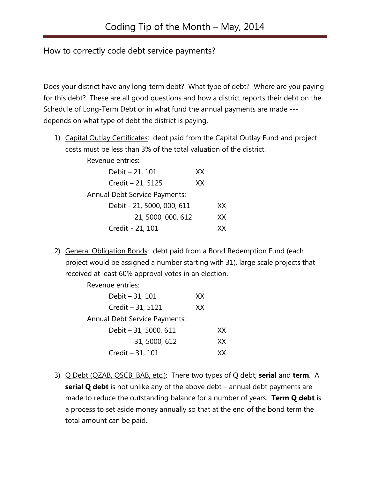How to correctly code debt service payments?

Does your district have any long-term debt? What type of debt? Where are you paying for this debt? These are all good questions and how a district reports their debt on the Schedule of Long-Term Debt or in what fund the annual payments are made -- depends on what type of debt the district is paying.

1) Capital Outlay Certificates: debt paid from the Capital Outlay Fund and project costs must be less than 3% of the total valuation of the district.

| Revenue entries:                     |    |    |
|--------------------------------------|----|----|
| Debit - 21, 101                      | XX |    |
| Credit - 21, 5125                    | XX |    |
| <b>Annual Debt Service Payments:</b> |    |    |
| Debit - 21, 5000, 000, 611           |    | XХ |
| 21, 5000, 000, 612                   |    | XХ |
| Credit - 21, 101                     |    | xх |

2) General Obligation Bonds: debt paid from a Bond Redemption Fund (each project would be assigned a number starting with 31), large scale projects that received at least 60% approval votes in an election.

Revenue entries:

| Debit - 31, 101                      | XX. |
|--------------------------------------|-----|
| Credit - 31, 5121                    | XX  |
| <b>Annual Debt Service Payments:</b> |     |
| Debit - 31, 5000, 611                | xх  |
| 31, 5000, 612                        | xх  |
| Credit - 31, 101                     | xх  |

3) Q Debt (QZAB, QSCB, BAB, etc.): There two types of Q debt; **serial** and **term**. A **serial Q debt** is not unlike any of the above debt – annual debt payments are made to reduce the outstanding balance for a number of years. **Term Q debt** is a process to set aside money annually so that at the end of the bond term the total amount can be paid.